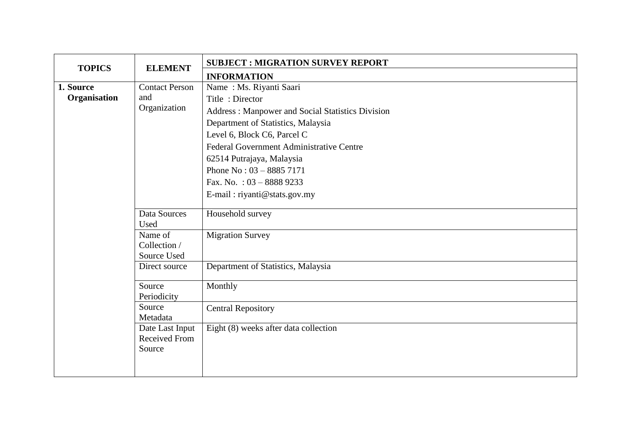| <b>TOPICS</b>                                                             | <b>ELEMENT</b>                                                                         | <b>SUBJECT : MIGRATION SURVEY REPORT</b>                                                                                                                                                                                                                                                                                                |
|---------------------------------------------------------------------------|----------------------------------------------------------------------------------------|-----------------------------------------------------------------------------------------------------------------------------------------------------------------------------------------------------------------------------------------------------------------------------------------------------------------------------------------|
|                                                                           |                                                                                        | <b>INFORMATION</b>                                                                                                                                                                                                                                                                                                                      |
| <b>Contact Person</b><br>1. Source<br>Organisation<br>and<br>Organization |                                                                                        | Name: Ms. Riyanti Saari<br>Title: Director<br>Address: Manpower and Social Statistics Division<br>Department of Statistics, Malaysia<br>Level 6, Block C6, Parcel C<br>Federal Government Administrative Centre<br>62514 Putrajaya, Malaysia<br>Phone No: $03 - 88857171$<br>Fax. No. : $03 - 88889233$<br>E-mail: riyanti@stats.gov.my |
|                                                                           | Data Sources<br>Used<br>Name of<br>Collection /<br>Source Used                         | Household survey<br><b>Migration Survey</b>                                                                                                                                                                                                                                                                                             |
|                                                                           | Direct source<br>Source                                                                | Department of Statistics, Malaysia<br>Monthly                                                                                                                                                                                                                                                                                           |
|                                                                           | Periodicity<br>Source<br>Metadata<br>Date Last Input<br><b>Received From</b><br>Source | <b>Central Repository</b><br>Eight (8) weeks after data collection                                                                                                                                                                                                                                                                      |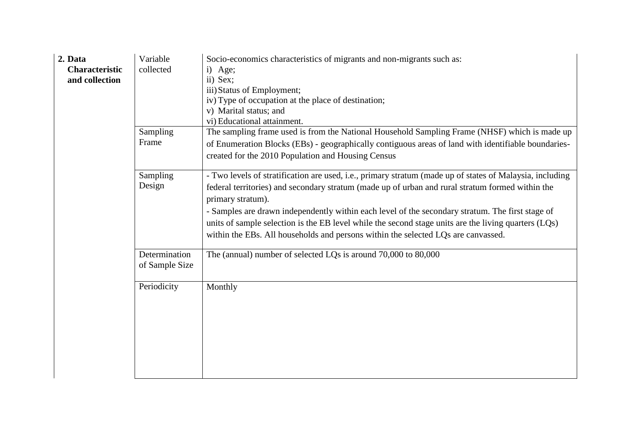| 2. Data<br><b>Characteristic</b><br>and collection | Variable<br>collected           | Socio-economics characteristics of migrants and non-migrants such as:<br>i) Age;<br>ii) Sex;<br>iii) Status of Employment;<br>iv) Type of occupation at the place of destination;<br>v) Marital status; and<br>vi) Educational attainment.                                                                                                                                                                                                                                                                                         |
|----------------------------------------------------|---------------------------------|------------------------------------------------------------------------------------------------------------------------------------------------------------------------------------------------------------------------------------------------------------------------------------------------------------------------------------------------------------------------------------------------------------------------------------------------------------------------------------------------------------------------------------|
|                                                    | Sampling<br>Frame               | The sampling frame used is from the National Household Sampling Frame (NHSF) which is made up<br>of Enumeration Blocks (EBs) - geographically contiguous areas of land with identifiable boundaries-<br>created for the 2010 Population and Housing Census                                                                                                                                                                                                                                                                         |
|                                                    | Sampling<br>Design              | - Two levels of stratification are used, i.e., primary stratum (made up of states of Malaysia, including<br>federal territories) and secondary stratum (made up of urban and rural stratum formed within the<br>primary stratum).<br>- Samples are drawn independently within each level of the secondary stratum. The first stage of<br>units of sample selection is the EB level while the second stage units are the living quarters (LQs)<br>within the EBs. All households and persons within the selected LQs are canvassed. |
|                                                    | Determination<br>of Sample Size | The (annual) number of selected LQs is around 70,000 to 80,000                                                                                                                                                                                                                                                                                                                                                                                                                                                                     |
|                                                    | Periodicity                     | Monthly                                                                                                                                                                                                                                                                                                                                                                                                                                                                                                                            |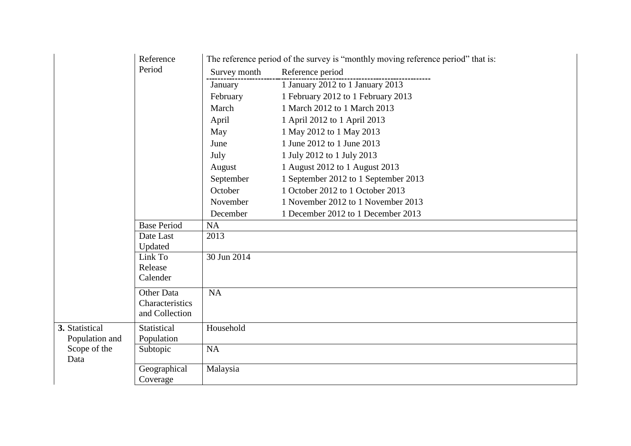|                | Reference                     |              | The reference period of the survey is "monthly moving reference period" that is: |
|----------------|-------------------------------|--------------|----------------------------------------------------------------------------------|
|                | Period                        | Survey month | Reference period                                                                 |
|                |                               | January      | 1 January 2012 to 1 January 2013                                                 |
|                |                               | February     | 1 February 2012 to 1 February 2013                                               |
|                |                               | March        | 1 March 2012 to 1 March 2013                                                     |
|                |                               | April        | 1 April 2012 to 1 April 2013                                                     |
|                |                               | May          | 1 May 2012 to 1 May 2013                                                         |
|                |                               | June         | 1 June 2012 to 1 June 2013                                                       |
|                |                               | July         | 1 July 2012 to 1 July 2013                                                       |
|                |                               | August       | 1 August 2012 to 1 August 2013                                                   |
|                |                               | September    | 1 September 2012 to 1 September 2013                                             |
|                |                               | October      | 1 October 2012 to 1 October 2013                                                 |
|                |                               | November     | 1 November 2012 to 1 November 2013                                               |
|                |                               | December     | 1 December 2012 to 1 December 2013                                               |
|                | <b>Base Period</b>            | <b>NA</b>    |                                                                                  |
|                | Date Last                     | 2013         |                                                                                  |
|                | Updated                       |              |                                                                                  |
|                | Link To<br>Release            | 30 Jun 2014  |                                                                                  |
|                | Calender                      |              |                                                                                  |
|                |                               |              |                                                                                  |
|                | Other Data<br>Characteristics | <b>NA</b>    |                                                                                  |
|                | and Collection                |              |                                                                                  |
| 3. Statistical | Statistical                   | Household    |                                                                                  |
| Population and | Population                    |              |                                                                                  |
| Scope of the   | Subtopic                      | <b>NA</b>    |                                                                                  |
| Data           |                               |              |                                                                                  |
|                | Geographical                  | Malaysia     |                                                                                  |
|                | Coverage                      |              |                                                                                  |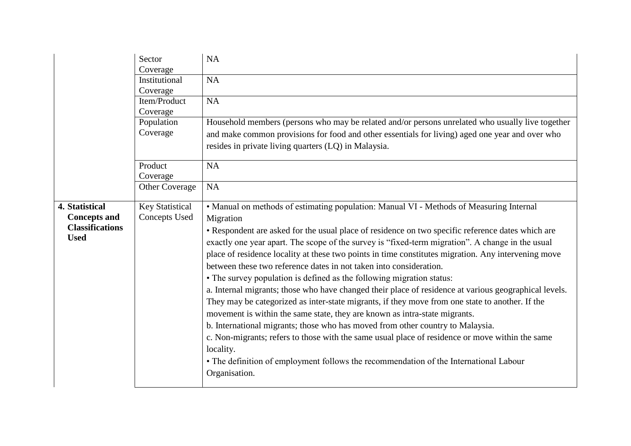|                                                                                | Sector<br>Coverage                      | <b>NA</b>                                                                                                                                                                                                                                                                                                                                                                                                                                                                                                                                                                                                                                                                                                                                                                                                                                                                                                                                                                                                                                                                                                                                                                 |
|--------------------------------------------------------------------------------|-----------------------------------------|---------------------------------------------------------------------------------------------------------------------------------------------------------------------------------------------------------------------------------------------------------------------------------------------------------------------------------------------------------------------------------------------------------------------------------------------------------------------------------------------------------------------------------------------------------------------------------------------------------------------------------------------------------------------------------------------------------------------------------------------------------------------------------------------------------------------------------------------------------------------------------------------------------------------------------------------------------------------------------------------------------------------------------------------------------------------------------------------------------------------------------------------------------------------------|
|                                                                                | Institutional<br>Coverage               | <b>NA</b>                                                                                                                                                                                                                                                                                                                                                                                                                                                                                                                                                                                                                                                                                                                                                                                                                                                                                                                                                                                                                                                                                                                                                                 |
|                                                                                | Item/Product<br>Coverage                | <b>NA</b>                                                                                                                                                                                                                                                                                                                                                                                                                                                                                                                                                                                                                                                                                                                                                                                                                                                                                                                                                                                                                                                                                                                                                                 |
|                                                                                | Population<br>Coverage                  | Household members (persons who may be related and/or persons unrelated who usually live together<br>and make common provisions for food and other essentials for living) aged one year and over who<br>resides in private living quarters (LQ) in Malaysia.                                                                                                                                                                                                                                                                                                                                                                                                                                                                                                                                                                                                                                                                                                                                                                                                                                                                                                               |
|                                                                                | Product<br>Coverage                     | <b>NA</b>                                                                                                                                                                                                                                                                                                                                                                                                                                                                                                                                                                                                                                                                                                                                                                                                                                                                                                                                                                                                                                                                                                                                                                 |
|                                                                                | Other Coverage                          | <b>NA</b>                                                                                                                                                                                                                                                                                                                                                                                                                                                                                                                                                                                                                                                                                                                                                                                                                                                                                                                                                                                                                                                                                                                                                                 |
| 4. Statistical<br><b>Concepts and</b><br><b>Classifications</b><br><b>Used</b> | <b>Key Statistical</b><br>Concepts Used | • Manual on methods of estimating population: Manual VI - Methods of Measuring Internal<br>Migration<br>• Respondent are asked for the usual place of residence on two specific reference dates which are<br>exactly one year apart. The scope of the survey is "fixed-term migration". A change in the usual<br>place of residence locality at these two points in time constitutes migration. Any intervening move<br>between these two reference dates in not taken into consideration.<br>• The survey population is defined as the following migration status:<br>a. Internal migrants; those who have changed their place of residence at various geographical levels.<br>They may be categorized as inter-state migrants, if they move from one state to another. If the<br>movement is within the same state, they are known as intra-state migrants.<br>b. International migrants; those who has moved from other country to Malaysia.<br>c. Non-migrants; refers to those with the same usual place of residence or move within the same<br>locality.<br>• The definition of employment follows the recommendation of the International Labour<br>Organisation. |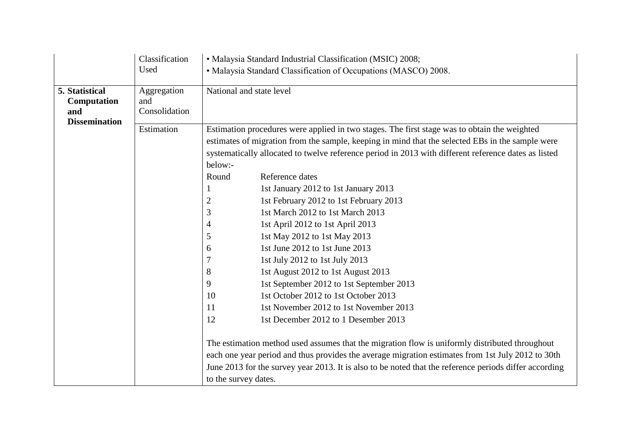|                                      | Classification<br>Used              |                                                                                         | • Malaysia Standard Industrial Classification (MSIC) 2008;<br>• Malaysia Standard Classification of Occupations (MASCO) 2008.                                                                                                                                                                                                                                                                                                                                                                                                                                                                                                                                                                                                                                                                                                                                                                           |  |  |
|--------------------------------------|-------------------------------------|-----------------------------------------------------------------------------------------|---------------------------------------------------------------------------------------------------------------------------------------------------------------------------------------------------------------------------------------------------------------------------------------------------------------------------------------------------------------------------------------------------------------------------------------------------------------------------------------------------------------------------------------------------------------------------------------------------------------------------------------------------------------------------------------------------------------------------------------------------------------------------------------------------------------------------------------------------------------------------------------------------------|--|--|
|                                      |                                     |                                                                                         |                                                                                                                                                                                                                                                                                                                                                                                                                                                                                                                                                                                                                                                                                                                                                                                                                                                                                                         |  |  |
| 5. Statistical<br>Computation<br>and | Aggregation<br>and<br>Consolidation |                                                                                         | National and state level                                                                                                                                                                                                                                                                                                                                                                                                                                                                                                                                                                                                                                                                                                                                                                                                                                                                                |  |  |
| <b>Dissemination</b>                 | Estimation                          | below:-<br>Round<br>2<br>$\mathfrak{Z}$<br>4<br>5<br>6<br>7<br>8<br>9<br>10<br>11<br>12 | Estimation procedures were applied in two stages. The first stage was to obtain the weighted<br>estimates of migration from the sample, keeping in mind that the selected EBs in the sample were<br>systematically allocated to twelve reference period in 2013 with different reference dates as listed<br>Reference dates<br>1st January 2012 to 1st January 2013<br>1st February 2012 to 1st February 2013<br>1st March 2012 to 1st March 2013<br>1st April 2012 to 1st April 2013<br>1st May 2012 to 1st May 2013<br>1st June 2012 to 1st June 2013<br>1st July 2012 to 1st July 2013<br>1st August 2012 to 1st August 2013<br>1st September 2012 to 1st September 2013<br>1st October 2012 to 1st October 2013<br>1st November 2012 to 1st November 2013<br>1st December 2012 to 1 Desember 2013<br>The estimation method used assumes that the migration flow is uniformly distributed throughout |  |  |
|                                      |                                     | to the survey dates.                                                                    | each one year period and thus provides the average migration estimates from 1st July 2012 to 30th<br>June 2013 for the survey year 2013. It is also to be noted that the reference periods differ according                                                                                                                                                                                                                                                                                                                                                                                                                                                                                                                                                                                                                                                                                             |  |  |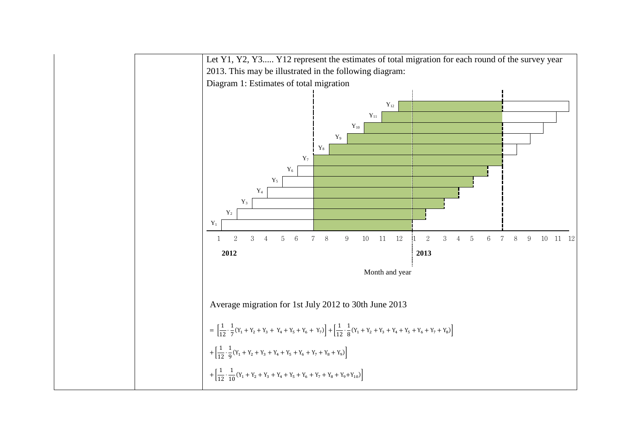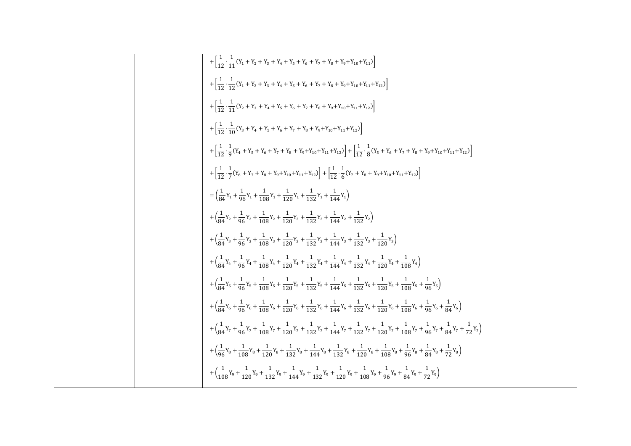| + $\left[\frac{1}{12} \cdot \frac{1}{11} (Y_1 + Y_2 + Y_3 + Y_4 + Y_5 + Y_6 + Y_7 + Y_8 + Y_9 + Y_{10} + Y_{11})\right]$                                                                                                                 |
|------------------------------------------------------------------------------------------------------------------------------------------------------------------------------------------------------------------------------------------|
| $+\left[\frac{1}{12}\cdot\frac{1}{12}(Y_1+Y_2+Y_3+Y_4+Y_5+Y_6+Y_7+Y_8+Y_9+Y_{10}+Y_{11}+Y_{12})\right]$                                                                                                                                  |
| $+\left \frac{1}{12}\cdot\frac{1}{11}(Y_2+Y_3+Y_4+Y_5+Y_6+Y_7+Y_8+Y_9+Y_{10}+Y_{11}+Y_{12})\right $                                                                                                                                      |
| $+\left \frac{1}{12}\cdot\frac{1}{10}(Y_3+Y_4+Y_5+Y_6+Y_7+Y_8+Y_9+Y_{10}+Y_{11}+Y_{12})\right $                                                                                                                                          |
| $+\left[\frac{1}{12}\cdot\frac{1}{9}(Y_4+Y_5+Y_6+Y_7+Y_8+Y_9+Y_{10}+Y_{11}+Y_{12})\right]+\left[\frac{1}{12}\cdot\frac{1}{8}(Y_5+Y_6+Y_7+Y_8+Y_9+Y_{10}+Y_{11}+Y_{12})\right]$                                                           |
| $+\left[\frac{1}{12}\cdot\frac{1}{7}(Y_6+Y_7+Y_8+Y_9+Y_{10}+Y_{11}+Y_{12})\right]+\left[\frac{1}{12}\cdot\frac{1}{6}(Y_7+Y_8+Y_9+Y_{10}+Y_{11}+Y_{12})\right]$                                                                           |
| $= \left(\frac{1}{84}Y_1 + \frac{1}{96}Y_1 + \frac{1}{108}Y_1 + \frac{1}{120}Y_1 + \frac{1}{132}Y_1 + \frac{1}{144}Y_1\right)$                                                                                                           |
| $+\left(\frac{1}{84}Y_2+\frac{1}{96}Y_2+\frac{1}{108}Y_2+\frac{1}{120}Y_2+\frac{1}{132}Y_2+\frac{1}{144}Y_2+\frac{1}{132}Y_2\right)$                                                                                                     |
| $+\left(\frac{1}{84}Y_3+\frac{1}{96}Y_3+\frac{1}{108}Y_3+\frac{1}{120}Y_3+\frac{1}{132}Y_3+\frac{1}{144}Y_3+\frac{1}{132}Y_3+\frac{1}{120}Y_3\right)$                                                                                    |
| $+\left(\frac{1}{84}Y_4+\frac{1}{96}Y_4+\frac{1}{108}Y_4+\frac{1}{120}Y_4+\frac{1}{132}Y_4+\frac{1}{144}Y_4+\frac{1}{132}Y_4+\frac{1}{120}Y_4+\frac{1}{108}Y_4\right)$                                                                   |
| $+\left(\frac{1}{84}Y_5+\frac{1}{96}Y_5+\frac{1}{108}Y_5+\frac{1}{120}Y_5+\frac{1}{132}Y_5+\frac{1}{144}Y_5+\frac{1}{132}Y_5+\frac{1}{120}Y_5+\frac{1}{108}Y_5+\frac{1}{96}Y_5\right)$                                                   |
| $+\left(\frac{1}{84}Y_6+\frac{1}{96}Y_6+\frac{1}{108}Y_6+\frac{1}{120}Y_6+\frac{1}{132}Y_6+\frac{1}{144}Y_6+\frac{1}{132}Y_6+\frac{1}{120}Y_6+\frac{1}{108}Y_6+\frac{1}{96}Y_6+\frac{1}{84}Y_6\right)$                                   |
| $+\left(\frac{1}{84}Y_7+\frac{1}{96}Y_7+\frac{1}{108}Y_7+\frac{1}{120}Y_7+\frac{1}{132}Y_7+\frac{1}{144}Y_7+\frac{1}{132}Y_7+\frac{1}{120}Y_7+\frac{1}{108}Y_7+\frac{1}{96}Y_7+\frac{1}{84}Y_7+\frac{1}{72}Y_7\right)$                   |
| $+\left(\frac{1}{96}Y_8+\frac{1}{108}Y_8+\frac{1}{120}Y_8+\frac{1}{132}Y_8+\frac{1}{144}Y_8+\frac{1}{132}Y_8+\frac{1}{120}Y_8+\frac{1}{108}Y_8+\frac{1}{96}Y_8+\frac{1}{84}Y_8+\frac{1}{72}Y_8\right)$                                   |
| $+\left(\frac{1}{108}\gamma_9+\frac{1}{120}\gamma_9+\frac{1}{132}\gamma_9+\frac{1}{144}\gamma_9+\frac{1}{132}\gamma_9+\frac{1}{120}\gamma_9+\frac{1}{108}\gamma_9+\frac{1}{96}\gamma_9+\frac{1}{84}\gamma_9+\frac{1}{72}\gamma_9\right)$ |

 $\mathsf{r}$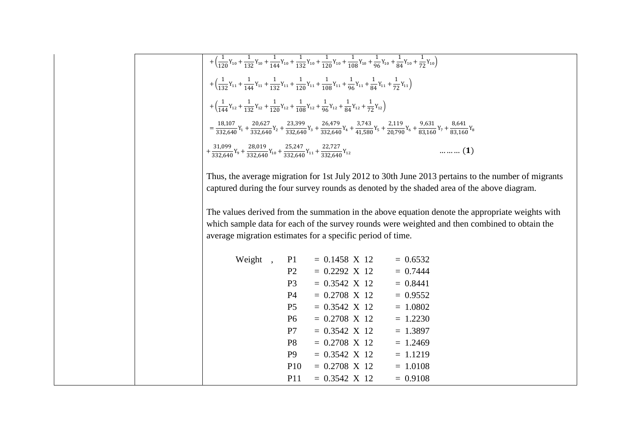$$
+\left(\frac{1}{120}Y_{10} + \frac{1}{132}Y_{10} + \frac{1}{144}Y_{10} + \frac{1}{132}Y_{10} + \frac{1}{120}Y_{10} + \frac{1}{108}Y_{10} + \frac{1}{96}Y_{10} + \frac{1}{84}Y_{10} + \frac{1}{72}Y_{10}\right) +\left(\frac{1}{132}Y_{11} + \frac{1}{144}Y_{11} + \frac{1}{132}Y_{11} + \frac{1}{120}Y_{11} + \frac{1}{108}Y_{11} + \frac{1}{96}Y_{11} + \frac{1}{84}Y_{11} + \frac{1}{72}Y_{11}\right) +\left(\frac{1}{144}Y_{12} + \frac{1}{132}Y_{12} + \frac{1}{120}Y_{12} + \frac{1}{108}Y_{12} + \frac{1}{96}Y_{12} + \frac{1}{84}Y_{12} + \frac{1}{72}Y_{12}\right) = \frac{18,107}{332,640}Y_1 + \frac{20,627}{332,640}Y_2 + \frac{23,399}{332,640}Y_3 + \frac{26,479}{332,640}Y_4 + \frac{3,743}{41,580}Y_5 + \frac{2,119}{20,790}Y_6 + \frac{9,631}{83,160}Y_7 + \frac{8,641}{83,160}Y_8 + \frac{31,099}{332,640}Y_9 + \frac{28,019}{332,640}Y_{10} + \frac{25,247}{332,640}Y_{11} + \frac{22,727}{332,640}Y_{12}
$$
........(1)

Thus, the average migration for 1st July 2012 to 30th June 2013 pertains to the number of migrants captured during the four survey rounds as denoted by the shaded area of the above diagram.

The values derived from the summation in the above equation denote the appropriate weights with which sample data for each of the survey rounds were weighted and then combined to obtain the average migration estimates for a specific period of time.

| Weight | P <sub>1</sub>  | $= 0.1458$ X 12      | $= 0.6532$ |
|--------|-----------------|----------------------|------------|
|        | P <sub>2</sub>  | $= 0.2292$ X 12      | $= 0.7444$ |
|        | P <sub>3</sub>  | $= 0.3542$ X 12      | $= 0.8441$ |
|        | <b>P4</b>       | $= 0.2708$ X 12      | $= 0.9552$ |
|        | P <sub>5</sub>  | $= 0.3542 \times 12$ | $= 1.0802$ |
|        | P <sub>6</sub>  | $= 0.2708$ X 12      | $= 1.2230$ |
|        | P7              | $= 0.3542$ X 12      | $= 1.3897$ |
|        | P <sub>8</sub>  | $= 0.2708$ X 12      | $= 1.2469$ |
|        | P <sub>9</sub>  | $= 0.3542$ X 12      | $= 1.1219$ |
|        | P <sub>10</sub> | $= 0.2708$ X 12      | $= 1.0108$ |
|        | P11             | $= 0.3542$ X 12      | $= 0.9108$ |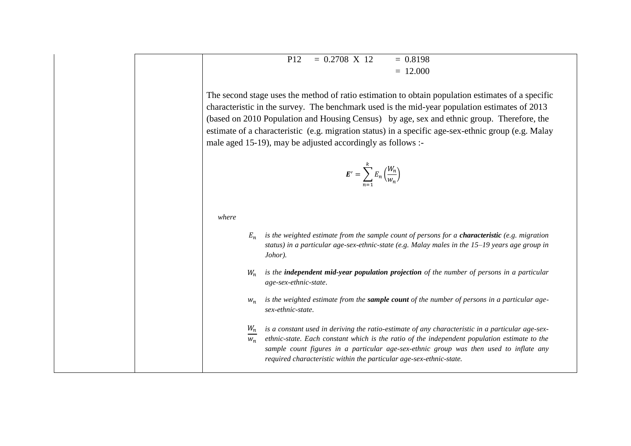$P12 = 0.2708 \text{ X } 12 = 0.8198$  $= 12.000$ 

The second stage uses the method of ratio estimation to obtain population estimates of a specific characteristic in the survey. The benchmark used is the mid-year population estimates of 2013 (based on 2010 Population and Housing Census) by age, sex and ethnic group. Therefore, the estimate of a characteristic (e.g. migration status) in a specific age-sex-ethnic group (e.g. Malay male aged 15-19), may be adjusted accordingly as follows :-

$$
E' = \sum_{n=1}^{k} E_n \left(\frac{W_n}{w_n}\right)
$$

*where*

- *is the weighted estimate from the sample count of persons for a characteristic (e.g. migration status) in a particular age-sex-ethnic-state (e.g. Malay males in the 15–19 years age group in Johor).*
- $W_n$ *is the independent mid-year population projection of the number of persons in a particular age-sex-ethnic-state*.
- *is the weighted estimate from the sample count of the number of persons in a particular agesex-ethnic-state*.
- *is a constant used in deriving the ratio-estimate of any characteristic in a particular age-sex-*
- *ethnic-state. Each constant which is the ratio of the independent population estimate to the sample count figures in a particular age-sex-ethnic group was then used to inflate any required characteristic within the particular age-sex-ethnic-state.*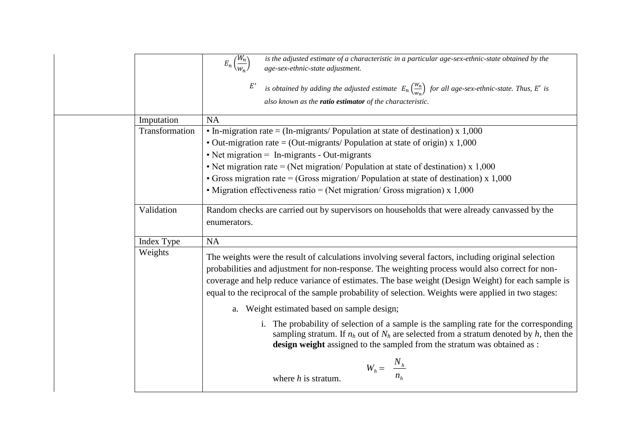|                | is the adjusted estimate of a characteristic in a particular age-sex-ethnic-state obtained by the<br>$E_n\left(\frac{W_n}{W_n}\right)$<br>age-sex-ethnic-state adjustment.<br>is obtained by adding the adjusted estimate $E_n\left(\frac{W_n}{w_n}\right)$ for all age-sex-ethnic-state. Thus, E' is<br>also known as the <b>ratio estimator</b> of the characteristic.                                             |
|----------------|----------------------------------------------------------------------------------------------------------------------------------------------------------------------------------------------------------------------------------------------------------------------------------------------------------------------------------------------------------------------------------------------------------------------|
| Imputation     | <b>NA</b>                                                                                                                                                                                                                                                                                                                                                                                                            |
| Transformation | • In-migration rate = $(In-migrants/$ Population at state of destination) x 1,000                                                                                                                                                                                                                                                                                                                                    |
|                | • Out-migration rate = (Out-migrants/Population at state of origin) $x$ 1,000                                                                                                                                                                                                                                                                                                                                        |
|                | $\bullet$ Net migration = In-migrants - Out-migrants                                                                                                                                                                                                                                                                                                                                                                 |
|                | • Net migration rate = (Net migration/Population at state of destination) $x 1,000$                                                                                                                                                                                                                                                                                                                                  |
|                | • Gross migration rate = (Gross migration/Population at state of destination) $x$ 1,000                                                                                                                                                                                                                                                                                                                              |
|                | • Migration effectiveness ratio = (Net migration/ Gross migration) $x$ 1,000                                                                                                                                                                                                                                                                                                                                         |
| Validation     | Random checks are carried out by supervisors on households that were already canvassed by the<br>enumerators.                                                                                                                                                                                                                                                                                                        |
| Index Type     | <b>NA</b>                                                                                                                                                                                                                                                                                                                                                                                                            |
| Weights        | The weights were the result of calculations involving several factors, including original selection<br>probabilities and adjustment for non-response. The weighting process would also correct for non-<br>coverage and help reduce variance of estimates. The base weight (Design Weight) for each sample is<br>equal to the reciprocal of the sample probability of selection. Weights were applied in two stages: |
|                | a. Weight estimated based on sample design;                                                                                                                                                                                                                                                                                                                                                                          |
|                | i. The probability of selection of a sample is the sampling rate for the corresponding<br>sampling stratum. If $n_h$ out of $N_h$ are selected from a stratum denoted by h, then the<br>design weight assigned to the sampled from the stratum was obtained as :                                                                                                                                                     |
|                | $W_h = \frac{N_h}{n_h}$<br>where $h$ is stratum.                                                                                                                                                                                                                                                                                                                                                                     |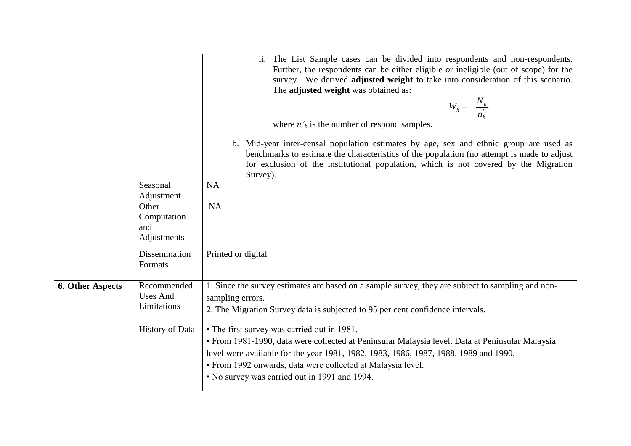|                         |                                               | ii. The List Sample cases can be divided into respondents and non-respondents.<br>Further, the respondents can be either eligible or ineligible (out of scope) for the<br>survey. We derived adjusted weight to take into consideration of this scenario.<br>The adjusted weight was obtained as:<br>$W_h = \frac{N_h}{n_h}$<br>where $n'_h$ is the number of respond samples. |
|-------------------------|-----------------------------------------------|--------------------------------------------------------------------------------------------------------------------------------------------------------------------------------------------------------------------------------------------------------------------------------------------------------------------------------------------------------------------------------|
|                         |                                               | b. Mid-year inter-censal population estimates by age, sex and ethnic group are used as<br>benchmarks to estimate the characteristics of the population (no attempt is made to adjust<br>for exclusion of the institutional population, which is not covered by the Migration<br>Survey).                                                                                       |
|                         | Seasonal<br>Adjustment                        | <b>NA</b>                                                                                                                                                                                                                                                                                                                                                                      |
|                         | Other<br>Computation<br>and<br>Adjustments    | <b>NA</b>                                                                                                                                                                                                                                                                                                                                                                      |
|                         | Dissemination<br>Formats                      | Printed or digital                                                                                                                                                                                                                                                                                                                                                             |
| <b>6. Other Aspects</b> | Recommended<br><b>Uses And</b><br>Limitations | 1. Since the survey estimates are based on a sample survey, they are subject to sampling and non-<br>sampling errors.<br>2. The Migration Survey data is subjected to 95 per cent confidence intervals.                                                                                                                                                                        |
|                         | <b>History of Data</b>                        | • The first survey was carried out in 1981.<br>• From 1981-1990, data were collected at Peninsular Malaysia level. Data at Peninsular Malaysia<br>level were available for the year 1981, 1982, 1983, 1986, 1987, 1988, 1989 and 1990.<br>· From 1992 onwards, data were collected at Malaysia level.<br>• No survey was carried out in 1991 and 1994.                         |